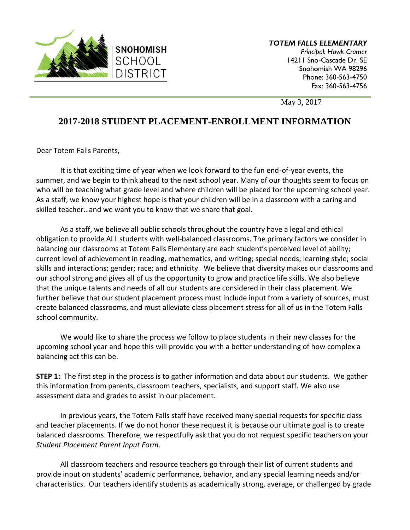

*TOTEM FALLS ELEMENTARY Principal: Hawk Cramer*  14211 Sno-Cascade Dr. SE Snohomish WA 98296 Phone: 360-563-4750 Fax: 360-563-4756

May 3, 2017

## **2017-2018 STUDENT PLACEMENT-ENROLLMENT INFORMATION**

Dear Totem Falls Parents,

It is that exciting time of year when we look forward to the fun end-of-year events, the summer, and we begin to think ahead to the next school year. Many of our thoughts seem to focus on who will be teaching what grade level and where children will be placed for the upcoming school year. As a staff, we know your highest hope is that your children will be in a classroom with a caring and skilled teacher…and we want you to know that we share that goal.

As a staff, we believe all public schools throughout the country have a legal and ethical obligation to provide ALL students with well-balanced classrooms. The primary factors we consider in balancing our classrooms at Totem Falls Elementary are each student's perceived level of ability; current level of achievement in reading, mathematics, and writing; special needs; learning style; social skills and interactions; gender; race; and ethnicity. We believe that diversity makes our classrooms and our school strong and gives all of us the opportunity to grow and practice life skills. We also believe that the unique talents and needs of all our students are considered in their class placement. We further believe that our student placement process must include input from a variety of sources, must create balanced classrooms, and must alleviate class placement stress for all of us in the Totem Falls school community.

We would like to share the process we follow to place students in their new classes for the upcoming school year and hope this will provide you with a better understanding of how complex a balancing act this can be.

**STEP 1:** The first step in the process is to gather information and data about our students. We gather this information from parents, classroom teachers, specialists, and support staff. We also use assessment data and grades to assist in our placement.

In previous years, the Totem Falls staff have received many special requests for specific class and teacher placements. If we do not honor these request it is because our ultimate goal is to create balanced classrooms. Therefore, we respectfully ask that you do not request specific teachers on your *Student Placement Parent Input Form*.

All classroom teachers and resource teachers go through their list of current students and provide input on students' academic performance, behavior, and any special learning needs and/or characteristics. Our teachers identify students as academically strong, average, or challenged by grade